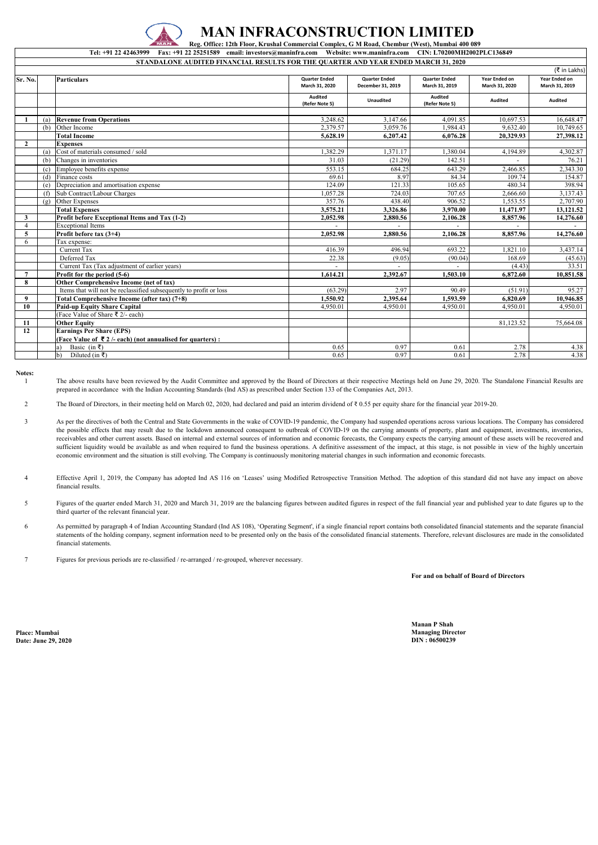| STANDALONE AUDITED FINANCIAL RESULTS FOR THE QUARTER AND YEAR ENDED MARCH 31, 2020<br>(₹ in Lakhs) |     |                                                                    |                                        |                                           |                                        |                                 |                                        |  |  |  |
|----------------------------------------------------------------------------------------------------|-----|--------------------------------------------------------------------|----------------------------------------|-------------------------------------------|----------------------------------------|---------------------------------|----------------------------------------|--|--|--|
| Sr. No.                                                                                            |     | <b>Particulars</b>                                                 | <b>Quarter Ended</b><br>March 31, 2020 | <b>Quarter Ended</b><br>December 31, 2019 | <b>Quarter Ended</b><br>March 31, 2019 | Year Ended on<br>March 31, 2020 | <b>Year Ended on</b><br>March 31, 2019 |  |  |  |
|                                                                                                    |     |                                                                    | Audited<br>(Refer Note 5)              | <b>Unaudited</b>                          | <b>Audited</b><br>(Refer Note 5)       | Audited                         | <b>Audited</b>                         |  |  |  |
|                                                                                                    | (a) | <b>Revenue from Operations</b>                                     | 3,248.62                               | 3,147.66                                  | 4,091.85                               | 10,697.53                       | 16,648.47                              |  |  |  |
|                                                                                                    | (b) | Other Income                                                       | 2,379.57                               | 3,059.76                                  | 1,984.43                               | 9,632.40                        | 10,749.65                              |  |  |  |
|                                                                                                    |     | <b>Total Income</b>                                                | 5,628.19                               | 6,207.42                                  | 6,076.28                               | 20,329.93                       | 27,398.12                              |  |  |  |
| $\overline{2}$                                                                                     |     | <b>Expenses</b>                                                    |                                        |                                           |                                        |                                 |                                        |  |  |  |
|                                                                                                    | (a) | Cost of materials consumed / sold                                  | 1,382.29                               | 1,371.17                                  | 1,380.04                               | 4,194.89                        | 4,302.87                               |  |  |  |
|                                                                                                    | (b) | Changes in inventories                                             | 31.03                                  | (21.29)                                   | 142.51                                 |                                 | 76.21                                  |  |  |  |
|                                                                                                    | (c) | Employee benefits expense                                          | 553.15                                 | 684.25                                    | 643.29                                 | 2,466.85                        | 2,343.30                               |  |  |  |
|                                                                                                    | (d) | Finance costs                                                      | 69.61                                  | 8.97                                      | 84.34                                  | 109.74                          | 154.87                                 |  |  |  |
|                                                                                                    | (e) | Depreciation and amortisation expense                              | 124.09                                 | 121.33                                    | 105.65                                 | 480.34                          | 398.94                                 |  |  |  |
|                                                                                                    | (f) | Sub Contract/Labour Charges                                        | 1,057.28                               | 724.03                                    | 707.65                                 | 2,666.60                        | 3,137.43                               |  |  |  |
|                                                                                                    |     | (g) Other Expenses                                                 | 357.76                                 | 438.40                                    | 906.52                                 | 1,553.55                        | 2,707.90                               |  |  |  |
|                                                                                                    |     | <b>Total Expenses</b>                                              | 3,575.21                               | 3,326.86                                  | 3,970.00                               | 11,471.97                       | 13,121.52                              |  |  |  |
| 3                                                                                                  |     | Profit before Exceptional Items and Tax (1-2)                      | 2,052.98                               | 2,880.56                                  | 2,106.28                               | 8,857.96                        | 14,276.60                              |  |  |  |
| $\overline{4}$                                                                                     |     | <b>Exceptional Items</b>                                           |                                        |                                           |                                        |                                 |                                        |  |  |  |
| $\overline{5}$                                                                                     |     | Profit before tax $(3+4)$                                          | 2,052.98                               | 2,880.56                                  | 2,106.28                               | 8,857.96                        | 14,276.60                              |  |  |  |
| 6                                                                                                  |     | Tax expense:                                                       |                                        |                                           |                                        |                                 |                                        |  |  |  |
|                                                                                                    |     | Current Tax                                                        | 416.39                                 | 496.94                                    | 693.22                                 | 1,821.10                        | 3,437.14                               |  |  |  |
|                                                                                                    |     | Deferred Tax                                                       | 22.38                                  | (9.05)                                    | (90.04)                                | 168.69                          | (45.63)                                |  |  |  |
|                                                                                                    |     | Current Tax (Tax adjustment of earlier years)                      |                                        |                                           |                                        | (4.43)                          | 33.51                                  |  |  |  |
| $\overline{7}$                                                                                     |     | Profit for the period (5-6)                                        | 1,614.21                               | 2,392.67                                  | 1,503.10                               | 6,872.60                        | 10,851.58                              |  |  |  |
| 8                                                                                                  |     | Other Comprehensive Income (net of tax)                            |                                        |                                           |                                        |                                 |                                        |  |  |  |
|                                                                                                    |     | Items that will not be reclassified subsequently to profit or loss | (63.29)                                | 2.97                                      | 90.49                                  | (51.91)                         | 95.27                                  |  |  |  |
| 9                                                                                                  |     | Total Comprehensive Income (after tax) (7+8)                       | 1,550.92                               | 2,395.64                                  | 1,593.59                               | 6,820.69                        | 10,946.85                              |  |  |  |
| 10                                                                                                 |     | <b>Paid-up Equity Share Capital</b>                                | 4,950.01                               | 4,950.01                                  | 4,950.01                               | 4,950.01                        | 4,950.01                               |  |  |  |
|                                                                                                    |     | (Face Value of Share ₹ 2/- each)                                   |                                        |                                           |                                        |                                 |                                        |  |  |  |
| 11                                                                                                 |     | <b>Other Equity</b>                                                |                                        |                                           |                                        | 81,123.52                       | 75,664.08                              |  |  |  |
| 12                                                                                                 |     | <b>Earnings Per Share (EPS)</b>                                    |                                        |                                           |                                        |                                 |                                        |  |  |  |
|                                                                                                    |     | (Face Value of ₹2/- each) (not annualised for quarters):           |                                        |                                           |                                        |                                 |                                        |  |  |  |
|                                                                                                    |     | Basic (in ₹)<br>a)                                                 | 0.65                                   | 0.97                                      | 0.61                                   | 2.78                            | 4.38                                   |  |  |  |
|                                                                                                    |     | $\mathbf{b}$<br>Diluted (in ₹)                                     | 0.65                                   | 0.97                                      | 0.61                                   | 2.78                            | 4.38                                   |  |  |  |

The above results have been reviewed by the Audit Committee and approved by the Board of Directors at their respective Meetings held on June 29, 2020. The Standalone Financial Results are prepared in accordance with the Indian Accounting Standards (Ind AS) as prescribed under Section 133 of the Companies Act, 2013.

**Notes:** 1

**For and on behalf of Board of Directors**

**Date: June 29, 2020 DIN : 06500239**

**Tel: +91 22 42463999 Fax: +91 22 25251589 email: investors@maninfra.com Website: www.maninfra.com CIN: L70200MH2002PLC136849**

2 The Board of Directors, in their meeting held on March 02, 2020, had declared and paid an interim dividend of ₹ 0.55 per equity share for the financial year 2019-20.

- 3 As per the directives of both the Central and State Governments in the wake of COVID-19 pandemic, the Company had suspended operations across various locations. The Company has considered the possible effects that may result due to the lockdown announced consequent to outbreak of COVID-19 on the carrying amounts of property, plant and equipment, investments, inventories, receivables and other current assets. Based on internal and external sources of information and economic forecasts, the Company expects the carrying amount of these assets will be recovered and sufficient liquidity would be available as and when required to fund the business operations. A definitive assessment of the impact, at this stage, is not possible in view of the highly uncertain economic environment and the situation is still evolving. The Company is continuously monitoring material changes in such information and economic forecasts.
- 4 Effective April 1, 2019, the Company has adopted Ind AS 116 on 'Leases' using Modified Retrospective Transition Method. The adoption of this standard did not have any impact on above financial results.
- 5 Figures of the quarter ended March 31, 2020 and March 31, 2019 are the balancing figures between audited figures in respect of the full financial year and published year to date figures up to the third quarter of the relevant financial year.
- 6 As permitted by paragraph 4 of Indian Accounting Standard (Ind AS 108), 'Operating Segment', if a single financial report contains both consolidated financial statements and the separate financial statements of the holding company, segment information need to be presented only on the basis of the consolidated financial statements. Therefore, relevant disclosures are made in the consolidated financial statements.
- 7 Figures for previous periods are re-classified / re-arranged / re-grouped, wherever necessary.



## **MAN INFRACONSTRUCTION LIMITED**

 **Reg. Office: 12th Floor, Krushal Commercial Complex, G M Road, Chembur (West), Mumbai 400 089**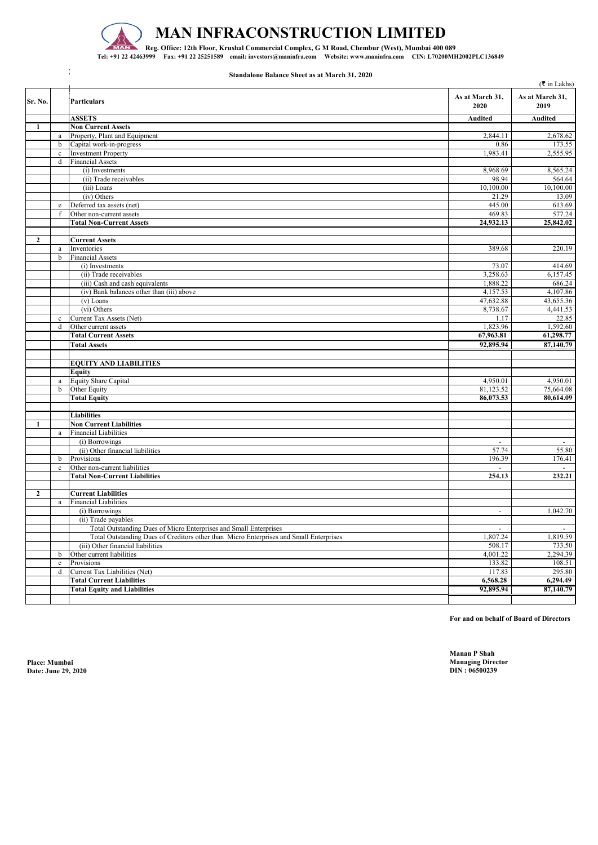

 $\frac{1}{T}$ 

|                |              |                                                                                        |                          | $($ ₹ in Lakhs)         |
|----------------|--------------|----------------------------------------------------------------------------------------|--------------------------|-------------------------|
| Sr. No.        |              | <b>Particulars</b>                                                                     | As at March 31,<br>2020  | As at March 31,<br>2019 |
|                |              | <b>ASSETS</b>                                                                          | <b>Audited</b>           | <b>Audited</b>          |
| $\mathbf{1}$   |              | <b>Non Current Assets</b>                                                              |                          |                         |
|                | a            | Property, Plant and Equipment                                                          | 2,844.11                 | 2,678.62                |
|                | $\mathbf b$  | Capital work-in-progress                                                               | 0.86                     | 173.55                  |
|                | $\mathbf{c}$ | <b>Investment Property</b>                                                             | 1,983.41                 | 2,555.95                |
|                | d            | <b>Financial Assets</b>                                                                |                          |                         |
|                |              | (i) Investments                                                                        | 8,968.69                 | 8,565.24                |
|                |              | (ii) Trade receivables                                                                 | 98.94                    | 564.64                  |
|                |              | (iii) Loans                                                                            | 10,100.00                | 10,100.00               |
|                |              | (iv) Others                                                                            | 21.29                    | 13.09                   |
|                | e            | Deferred tax assets (net)                                                              | 445.00                   | 613.69                  |
|                | $-f$         | Other non-current assets                                                               | 469.83                   | 577.24                  |
|                |              | <b>Total Non-Current Assets</b>                                                        | 24,932.13                | 25,842.02               |
|                |              |                                                                                        |                          |                         |
| $\overline{2}$ |              | <b>Current Assets</b>                                                                  |                          |                         |
|                | a            | Inventories                                                                            | 389.68                   | 220.19                  |
|                | b            | <b>Financial Assets</b>                                                                |                          |                         |
|                |              | (i) Investments                                                                        | 73.07                    | 414.69                  |
|                |              | (ii) Trade receivables                                                                 | 3,258.63                 | 6,157.45                |
|                |              | (iii) Cash and cash equivalents                                                        | 1,888.22                 | 686.24                  |
|                |              | (iv) Bank balances other than (iii) above                                              | 4,157.53                 | 4,107.86                |
|                |              | $(v)$ Loans                                                                            | 47,632.88                | 43,655.36               |
|                |              | (vi) Others                                                                            | 8,738.67                 | 4,441.53                |
|                | $\mathbf{c}$ | Current Tax Assets (Net)                                                               | 1.17                     | 22.85                   |
|                | d            | Other current assets                                                                   | 1,823.96                 | 1,592.60                |
|                |              | <b>Total Current Assets</b>                                                            | 67,963.81                | 61,298.77               |
|                |              | <b>Total Assets</b>                                                                    | 92,895.94                | 87,140.79               |
|                |              |                                                                                        |                          |                         |
|                |              | <b>EQUITY AND LIABILITIES</b>                                                          |                          |                         |
|                |              | <b>Equity</b>                                                                          |                          |                         |
|                | a            | Equity Share Capital                                                                   | 4,950.01                 | 4,950.01                |
|                | $\mathbf b$  | Other Equity                                                                           | 81,123.52                | 75,664.08               |
|                |              | <b>Total Equity</b>                                                                    | 86,073.53                | 80,614.09               |
|                |              |                                                                                        |                          |                         |
|                |              | <b>Liabilities</b>                                                                     |                          |                         |
| 1              |              | <b>Non Current Liabilities</b>                                                         |                          |                         |
|                | a            | <b>Financial Liabilities</b>                                                           |                          |                         |
|                |              | $(i)$ Borrowings                                                                       | $\sim$                   | $\sim$                  |
|                |              | (ii) Other financial liabilities                                                       | 57.74                    | 55.80                   |
|                | b            | Provisions                                                                             | 196.39                   | 176.41                  |
|                | $\mathbf c$  | Other non-current liabilities                                                          |                          |                         |
|                |              | <b>Total Non-Current Liabilities</b>                                                   | 254.13                   | 232.21                  |
|                |              |                                                                                        |                          |                         |
| $\overline{2}$ |              | <b>Current Liabilities</b>                                                             |                          |                         |
|                | a            | <b>Financial Liabilities</b>                                                           |                          |                         |
|                |              | (i) Borrowings                                                                         | $\overline{\phantom{a}}$ | 1,042.70                |
|                |              | (ii) Trade payables                                                                    |                          |                         |
|                |              | Total Outstanding Dues of Micro Enterprises and Small Enterprises                      |                          | $\sim$                  |
|                |              | Total Outstanding Dues of Creditors other than Micro Enterprises and Small Enterprises | 1,807.24                 | 1,819.59                |
|                |              | (iii) Other financial liabilities                                                      | 508.17                   | 733.50                  |
|                | b            | Other current liabilities                                                              | 4,001.22                 | 2,294.39                |
|                | $\mathbf c$  | Provisions                                                                             | 133.82                   | 108.51                  |
|                | d            | Current Tax Liabilities (Net)                                                          | 117.83                   | 295.80                  |
|                |              | <b>Total Current Liabilities</b>                                                       | 6,568.28                 | 6,294.49                |
|                |              | <b>Total Equity and Liabilities</b>                                                    | 92,895.94                | 87,140.79               |
|                |              |                                                                                        |                          |                         |

**Date: June 29, 2020** 

**Manan P Shah Place: Mumbai Managing Director**

## **MAN INFRACONSTRUCTION LIMITED**

**Reg. Office: 12th Floor, Krushal Commercial Complex, G M Road, Chembur (West), Mumbai 400 089 Tel: +91 22 42463999 Fax: +91 22 25251589 email: investors@maninfra.com Website: www.maninfra.com CIN: L70200MH2002PLC136849**

**Standalone Balance Sheet as at March 31, 2020**